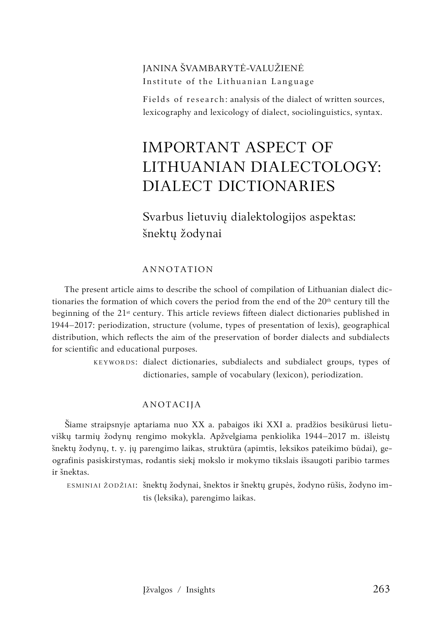## JANINA ŠVAMBARYTĖ-VALUŽIENĖ Institute of the Lithuanian Language

Fields of research: analysis of the dialect of written sources, lexicography and lexicology of dialect, sociolinguistics, syntax.

# IMPORTANT ASPECT OF LITHUANIAN DIALECTOLOGY: DIALECT DICTIONARIES

Svarbus lietuvių dialektologijos aspektas: šnektų žodynai

#### ANNOTATION

The present article aims to describe the school of compilation of Lithuanian dialect dictionaries the formation of which covers the period from the end of the  $20<sup>th</sup>$  century till the beginning of the 21st century. This article reviews fifteen dialect dictionaries published in 1944–2017: periodization, structure (volume, types of presentation of lexis), geographical distribution, which reflects the aim of the preservation of border dialects and subdialects for scientific and educational purposes.

> KEYWORDS: dialect dictionaries, subdialects and subdialect groups, types of dictionaries, sample of vocabulary (lexicon), periodization.

#### ANOTACIJA

Šiame straipsnyje aptariama nuo XX a. pabaigos iki XXI a. pradžios besikūrusi lietuviškų tarmių žodynų rengimo mokykla. Apžvelgiama penkiolika 1944–2017 m. išleistų šnektų žodynų, t. y. jų parengimo laikas, struktūra (apimtis, leksikos pateikimo būdai), geografinis pasiskirstymas, rodantis siekį mokslo ir mokymo tikslais išsaugoti paribio tarmes ir šnektas.

ESMINIAI ŽODŽIAI: šnektų žodynai, šnektos ir šnektų grupės, žodyno rūšis, žodyno imtis (leksika), parengimo laikas.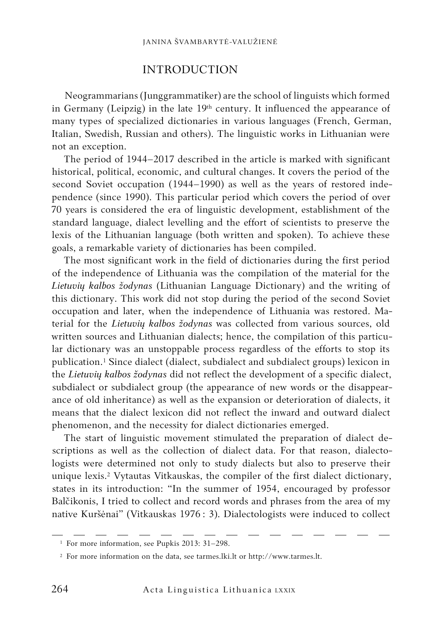### INTRODUCTION

Neogrammarians (Junggrammatiker) are the school of linguists which formed in Germany (Leipzig) in the late  $19<sup>th</sup>$  century. It influenced the appearance of many types of specialized dictionaries in various languages (French, German, Italian, Swedish, Russian and others). The linguistic works in Lithuanian were not an exception.

The period of 1944–2017 described in the article is marked with significant historical, political, economic, and cultural changes. It covers the period of the second Soviet occupation (1944–1990) as well as the years of restored independence (since 1990). This particular period which covers the period of over 70 years is considered the era of linguistic development, establishment of the standard language, dialect levelling and the effort of scientists to preserve the lexis of the Lithuanian language (both written and spoken). To achieve these goals, a remarkable variety of dictionaries has been compiled.

The most significant work in the field of dictionaries during the first period of the independence of Lithuania was the compilation of the material for the *Lietuvių kalbos žodynas* (Lithuanian Language Dictionary) and the writing of this dictionary. This work did not stop during the period of the second Soviet occupation and later, when the independence of Lithuania was restored. Material for the *Lietuvių kalbos žodynas* was collected from various sources, old written sources and Lithuanian dialects; hence, the compilation of this particular dictionary was an unstoppable process regardless of the efforts to stop its publication.1 Since dialect (dialect, subdialect and subdialect groups) lexicon in the *Lietuvių kalbos žodynas* did not reflect the development of a specific dialect, subdialect or subdialect group (the appearance of new words or the disappearance of old inheritance) as well as the expansion or deterioration of dialects, it means that the dialect lexicon did not reflect the inward and outward dialect phenomenon, and the necessity for dialect dictionaries emerged.

The start of linguistic movement stimulated the preparation of dialect descriptions as well as the collection of dialect data. For that reason, dialectologists were determined not only to study dialects but also to preserve their unique lexis.2 Vytautas Vitkauskas, the compiler of the first dialect dictionary, states in its introduction: "In the summer of 1954, encouraged by professor Balčikonis, I tried to collect and record words and phrases from the area of my native Kuršėnai" (Vitkauskas 1976 : 3). Dialectologists were induced to collect

<sup>&</sup>lt;sup>1</sup> For more information, see Pupkis 2013: 31-298.

<sup>2</sup> For more information on the data, see tarmes.lki.lt or http://www.tarmes.lt.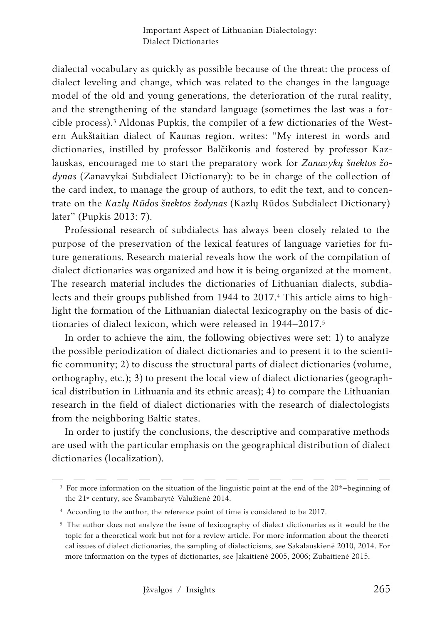dialectal vocabulary as quickly as possible because of the threat: the process of dialect leveling and change, which was related to the changes in the language model of the old and young generations, the deterioration of the rural reality, and the strengthening of the standard language (sometimes the last was a forcible process).3 Aldonas Pupkis, the compiler of a few dictionaries of the Western Aukštaitian dialect of Kaunas region, writes: "My interest in words and dictionaries, instilled by professor Balčikonis and fostered by professor Kazlauskas, encouraged me to start the preparatory work for *Zanavykų šnektos žodynas* (Zanavykai Subdialect Dictionary): to be in charge of the collection of the card index, to manage the group of authors, to edit the text, and to concentrate on the *Kazlų Rūdos šnektos žodynas* (Kazlų Rūdos Subdialect Dictionary) later" (Pupkis 2013: 7).

Professional research of subdialects has always been closely related to the purpose of the preservation of the lexical features of language varieties for future generations. Research material reveals how the work of the compilation of dialect dictionaries was organized and how it is being organized at the moment. The research material includes the dictionaries of Lithuanian dialects, subdialects and their groups published from 1944 to 2017.<sup>4</sup> This article aims to highlight the formation of the Lithuanian dialectal lexicography on the basis of dictionaries of dialect lexicon, which were released in 1944–2017.<sup>5</sup>

In order to achieve the aim, the following objectives were set: 1) to analyze the possible periodization of dialect dictionaries and to present it to the scientific community; 2) to discuss the structural parts of dialect dictionaries (volume, orthography, etc.); 3) to present the local view of dialect dictionaries (geographical distribution in Lithuania and its ethnic areas); 4) to compare the Lithuanian research in the field of dialect dictionaries with the research of dialectologists from the neighboring Baltic states.

In order to justify the conclusions, the descriptive and comparative methods are used with the particular emphasis on the geographical distribution of dialect dictionaries (localization).

<sup>&</sup>lt;sup>3</sup> For more information on the situation of the linguistic point at the end of the  $20<sup>th</sup>$ -beginning of the 21st century, see Švambarytė-Valužienė 2014.

<sup>4</sup> According to the author, the reference point of time is considered to be 2017.

<sup>5</sup> The author does not analyze the issue of lexicography of dialect dictionaries as it would be the topic for a theoretical work but not for a review article. For more information about the theoretical issues of dialect dictionaries, the sampling of dialecticisms, see Sakalauskienė 2010, 2014. For more information on the types of dictionaries, see Jakaitienė 2005, 2006; Zubaitienė 2015.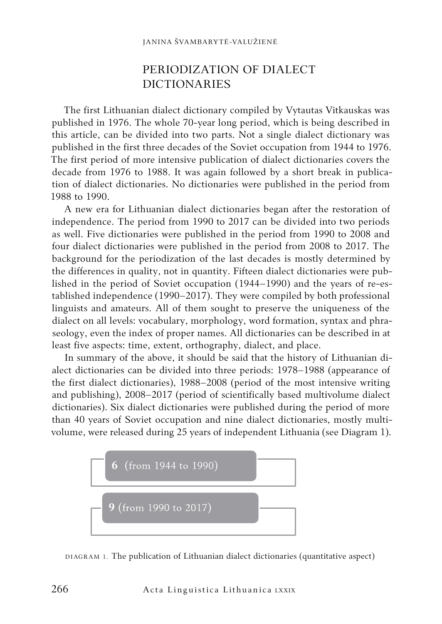# PERIODIZATION OF DIALECT DICTIONARIES

The first Lithuanian dialect dictionary compiled by Vytautas Vitkauskas was published in 1976. The whole 70-year long period, which is being described in this article, can be divided into two parts. Not a single dialect dictionary was published in the first three decades of the Soviet occupation from 1944 to 1976. The first period of more intensive publication of dialect dictionaries covers the decade from 1976 to 1988. It was again followed by a short break in publication of dialect dictionaries. No dictionaries were published in the period from 1988 to 1990.

A new era for Lithuanian dialect dictionaries began after the restoration of independence. The period from 1990 to 2017 can be divided into two periods as well. Five dictionaries were published in the period from 1990 to 2008 and four dialect dictionaries were published in the period from 2008 to 2017. The background for the periodization of the last decades is mostly determined by the differences in quality, not in quantity. Fifteen dialect dictionaries were published in the period of Soviet occupation (1944–1990) and the years of re-established independence (1990–2017). They were compiled by both professional linguists and amateurs. All of them sought to preserve the uniqueness of the dialect on all levels: vocabulary, morphology, word formation, syntax and phraseology, even the index of proper names. All dictionaries can be described in at least five aspects: time, extent, orthography, dialect, and place.

In summary of the above, it should be said that the history of Lithuanian dialect dictionaries can be divided into three periods: 1978–1988 (appearance of the first dialect dictionaries), 1988–2008 (period of the most intensive writing and publishing), 2008–2017 (period of scientifically based multivolume dialect dictionaries). Six dialect dictionaries were published during the period of more than 40 years of Soviet occupation and nine dialect dictionaries, mostly multivolume, were released during 25 years of independent Lithuania (see Diagram 1).



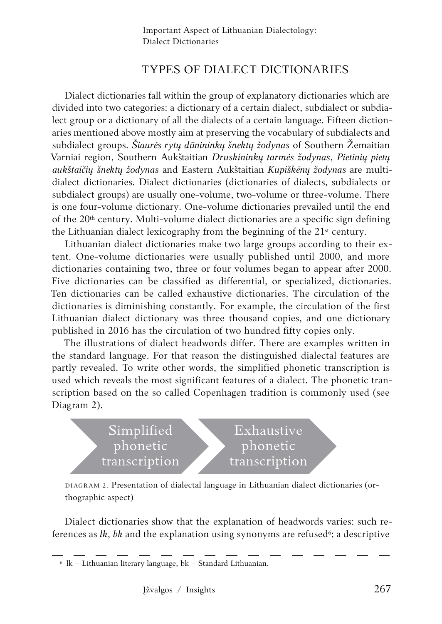# TYPES OF DIALECT DICTIONARIES

Dialect dictionaries fall within the group of explanatory dictionaries which are divided into two categories: a dictionary of a certain dialect, subdialect or subdialect group or a dictionary of all the dialects of a certain language. Fifteen dictionaries mentioned above mostly aim at preserving the vocabulary of subdialects and subdialect groups. *Šiaurės rytų dūnininkų šnektų žodynas* of Southern Žemaitian Varniai region, Southern Aukštaitian *Druskininkų tarmės žodynas*, *Pietinių pietų aukštaičių šnektų žodynas* and Eastern Aukštaitian *Kupiškėnų žodynas* are multidialect dictionaries. Dialect dictionaries (dictionaries of dialects, subdialects or subdialect groups) are usually one-volume, two-volume or three-volume. There is one four-volume dictionary. One-volume dictionaries prevailed until the end of the 20th century. Multi-volume dialect dictionaries are a specific sign defining the Lithuanian dialect lexicography from the beginning of the  $21<sup>st</sup>$  century.

Lithuanian dialect dictionaries make two large groups according to their extent. One-volume dictionaries were usually published until 2000, and more dictionaries containing two, three or four volumes began to appear after 2000. Five dictionaries can be classified as differential, or specialized, dictionaries. Ten dictionaries can be called exhaustive dictionaries. The circulation of the dictionaries is diminishing constantly. For example, the circulation of the first Lithuanian dialect dictionary was three thousand copies, and one dictionary published in 2016 has the circulation of two hundred fifty copies only.

The illustrations of dialect headwords differ. There are examples written in the standard language. For that reason the distinguished dialectal features are partly revealed. To write other words, the simplified phonetic transcription is used which reveals the most significant features of a dialect. The phonetic transcription based on the so called Copenhagen tradition is commonly used (see Diagram 2).



DIAGRAM 2. Presentation of dialectal language in Lithuanian dialect dictionaries (orthographic aspect)

Dialect dictionaries show that the explanation of headwords varies: such references as *lk*, *bk* and the explanation using synonyms are refused<sup>6</sup>; a descriptive

 $6$  lk – Lithuanian literary language, bk – Standard Lithuanian.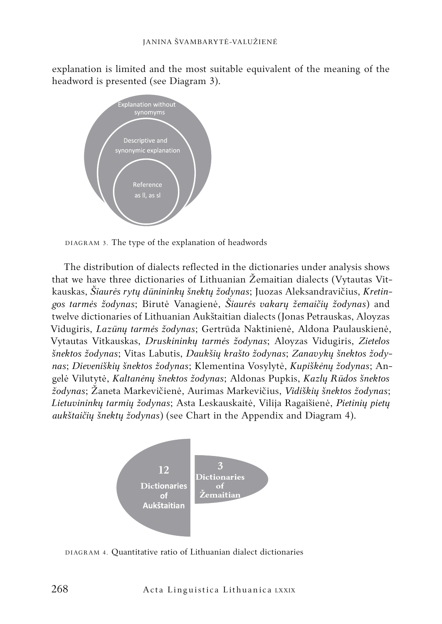explanation is limited and the most suitable equivalent of the meaning of the headword is presented (see Diagram 3).



DIAGRAM 3. The type of the explanation of headwords

The distribution of dialects reflected in the dictionaries under analysis shows that we have three dictionaries of Lithuanian Žemaitian dialects (Vytautas Vitkauskas, *Šiaurės rytų dūnininkų šnektų žodynas*; Juozas Aleksandravičius, *Kretingos tarmės žodynas*; Birutė Vanagienė, *Šiaurės vakarų žemaičių žodynas*) and twelve dictionaries of Lithuanian Aukštaitian dialects (Jonas Petrauskas, Aloyzas Vidugiris, *Lazūnų tarmės žodynas*; Gertrūda Naktinienė, Aldona Paulauskienė, Vytautas Vitkauskas, *Druskininkų tarmės žodynas*; Aloyzas Vidugiris, *Zietelos šnektos žodynas*; Vitas Labutis, *Daukšių krašto žodynas*; *Zanavykų šnektos žodynas*; *Dieveniškių šnektos žodynas*; Klementina Vosylytė, *Kupiškėnų žodynas*; Angelė Vilutytė, *Kaltanėnų šnektos žodynas*; Aldonas Pupkis, *Kazlų Rūdos šnektos žodynas*; Žaneta Markevičienė, Aurimas Markevičius, *Vidiškių šnektos žodynas*; *Lietuvininkų tarmių žodynas*; Asta Leskauskaitė, Vilija Ragaišienė, *Pietinių pietų aukštaičių šnektų žodynas*) (see Chart in the Appendix and Diagram 4).



DIAGRAM 4. Quantitative ratio of Lithuanian dialect dictionaries

268 Acta Linguistica Lithuanica LXXIX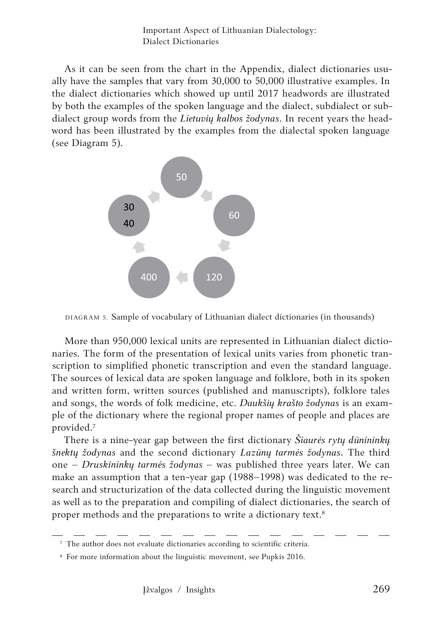Important Aspect of Lithuanian Dialectology: Dialect Dictionaries

As it can be seen from the chart in the Appendix, dialect dictionaries usually have the samples that vary from 30,000 to 50,000 illustrative examples. In the dialect dictionaries which showed up until 2017 headwords are illustrated by both the examples of the spoken language and the dialect, subdialect or subdialect group words from the *Lietuvių kalbos žodynas*. In recent years the headword has been illustrated by the examples from the dialectal spoken language (see Diagram 5).



DIAGRAM 5. Sample of vocabulary of Lithuanian dialect dictionaries (in thousands)

More than 950,000 lexical units are represented in Lithuanian dialect dictionaries. The form of the presentation of lexical units varies from phonetic transcription to simplified phonetic transcription and even the standard language. The sources of lexical data are spoken language and folklore, both in its spoken and written form, written sources (published and manuscripts), folklore tales and songs, the words of folk medicine, etc. *Daukšių krašto žodynas* is an example of the dictionary where the regional proper names of people and places are provided.7

There is a nine-year gap between the first dictionary *Šiaurės rytų dūnininkų šnektų žodynas* and the second dictionary *Lazūnų tarmės žodynas*. The third one – *Druskininkų tarmės žodynas* – was published three years later. We can make an assumption that a ten-year gap (1988–1998) was dedicated to the research and structurization of the data collected during the linguistic movement as well as to the preparation and compiling of dialect dictionaries, the search of proper methods and the preparations to write a dictionary text.8

<sup>7</sup> The author does not evaluate dictionaries according to scientific criteria.

<sup>8</sup> For more information about the linguistic movement, see Pupkis 2016.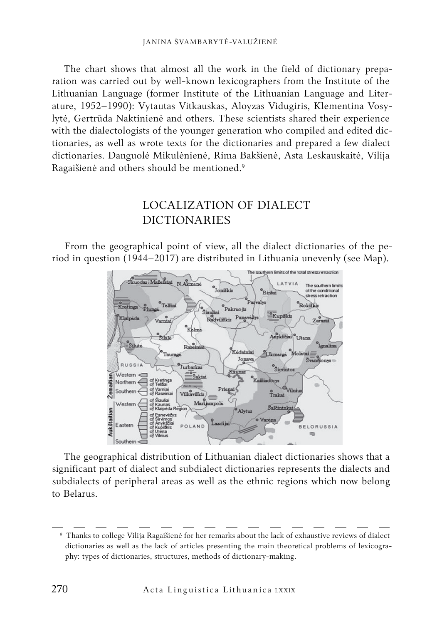The chart shows that almost all the work in the field of dictionary preparation was carried out by well-known lexicographers from the Institute of the Lithuanian Language (former Institute of the Lithuanian Language and Literature, 1952–1990): Vytautas Vitkauskas, Aloyzas Vidugiris, Klementina Vosylytė, Gertrūda Naktinienė and others. These scientists shared their experience with the dialectologists of the younger generation who compiled and edited dictionaries, as well as wrote texts for the dictionaries and prepared a few dialect dictionaries. Danguolė Mikulėnienė, Rima Bakšienė, Asta Leskauskaitė, Vilija Ragaišienė and others should be mentioned.9

# LOCALIZATION OF DIALECT DICTIONARIES

From the geographical point of view, all the dialect dictionaries of the period in question (1944–2017) are distributed in Lithuania unevenly (see Map).



The geographical distribution of Lithuanian dialect dictionaries shows that a significant part of dialect and subdialect dictionaries represents the dialects and subdialects of peripheral areas as well as the ethnic regions which now belong to Belarus.

<sup>9</sup> Thanks to college Vilija Ragaišienė for her remarks about the lack of exhaustive reviews of dialect dictionaries as well as the lack of articles presenting the main theoretical problems of lexicography: types of dictionaries, structures, methods of dictionary-making.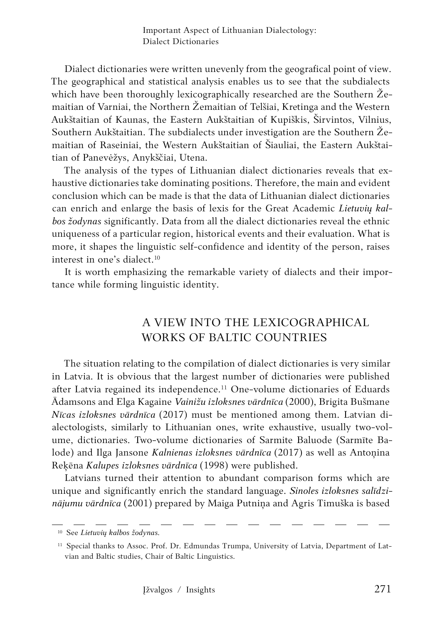Dialect dictionaries were written unevenly from the geografical point of view. The geographical and statistical analysis enables us to see that the subdialects which have been thoroughly lexicographically researched are the Southern Žemaitian of Varniai, the Northern Žemaitian of Telšiai, Kretinga and the Western Aukštaitian of Kaunas, the Eastern Aukštaitian of Kupiškis, Širvintos, Vilnius, Southern Aukštaitian. The subdialects under investigation are the Southern Žemaitian of Raseiniai, the Western Aukštaitian of Šiauliai, the Eastern Aukštaitian of Panevėžys, Anykščiai, Utena.

The analysis of the types of Lithuanian dialect dictionaries reveals that exhaustive dictionaries take dominating positions. Therefore, the main and evident conclusion which can be made is that the data of Lithuanian dialect dictionaries can enrich and enlarge the basis of lexis for the Great Academic *Lietuvių kalbos žodynas* significantly. Data from all the dialect dictionaries reveal the ethnic uniqueness of a particular region, historical events and their evaluation. What is more, it shapes the linguistic self-confidence and identity of the person, raises interest in one's dialect.10

It is worth emphasizing the remarkable variety of dialects and their importance while forming linguistic identity.

# A VIEW INTO THE LEXICOGRAPHICAL WORKS OF BALTIC COUNTRIES

The situation relating to the compilation of dialect dictionaries is very similar in Latvia. It is obvious that the largest number of dictionaries were published after Latvia regained its independence.11 One-volume dictionaries of Eduards Ādamsons and Elga Kagaine *Vainižu izloksnes vārdnīca* (2000), Brigita Bušmane *Nīcas izloksnes vārdnīca* (2017) must be mentioned among them. Latvian dialectologists, similarly to Lithuanian ones, write exhaustive, usually two-volume, dictionaries. Two-volume dictionaries of Sarmite Baluode (Sarmīte Balode) and Ilga Jansone *Kalnienas izloksnes vārdnīca* (2017) as well as Antonina Reķēna *Kalupes izloksnes vārdnīca* (1998) were published.

Latvians turned their attention to abundant comparison forms which are unique and significantly enrich the standard language. *Sinoles izloksnes salīdzinājumu vārdnīca* (2001) prepared by Maiga Putniņa and Agris Timuška is based

<sup>10</sup> See *Lietuvių kalbos žodynas.*

<sup>&</sup>lt;sup>11</sup> Special thanks to Assoc. Prof. Dr. Edmundas Trumpa, University of Latvia, Department of Latvian and Baltic studies, Chair of Baltic Linguistics.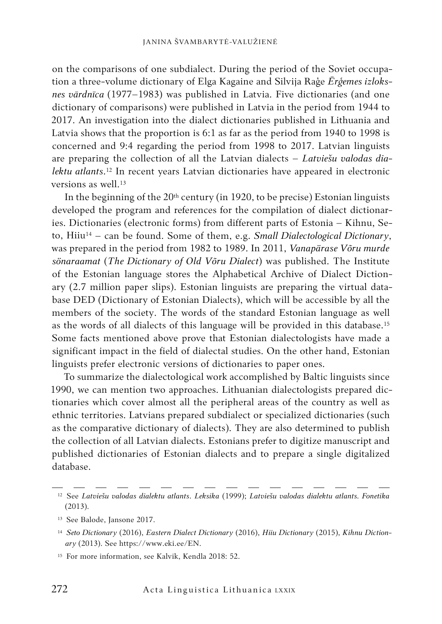on the comparisons of one subdialect. During the period of the Soviet occupation a three-volume dictionary of Elga Kagaine and Silvija Raģe *Ērģemes izloksnes vārdnīca* (1977–1983) was published in Latvia. Five dictionaries (and one dictionary of comparisons) were published in Latvia in the period from 1944 to 2017. An investigation into the dialect dictionaries published in Lithuania and Latvia shows that the proportion is 6:1 as far as the period from 1940 to 1998 is concerned and 9:4 regarding the period from 1998 to 2017. Latvian linguists are preparing the collection of all the Latvian dialects – *Latviešu valodas dialektu atlants*.12 In recent years Latvian dictionaries have appeared in electronic versions as well.<sup>13</sup>

In the beginning of the  $20<sup>th</sup>$  century (in 1920, to be precise) Estonian linguists developed the program and references for the compilation of dialect dictionaries. Dictionaries (electronic forms) from different parts of Estonia – Kihnu, Seto, Hiiu14 – can be found. Some of them, e.g. *Small Dialectological Dictionary*, was prepared in the period from 1982 to 1989. In 2011, *Vanapärase Võru murde sönaraamat* (*The Dictionary of Old Võru Dialect*) was published. The Institute of the Estonian language stores the Alphabetical Archive of Dialect Dictionary (2.7 million paper slips). Estonian linguists are preparing the virtual database DED (Dictionary of Estonian Dialects), which will be accessible by all the members of the society. The words of the standard Estonian language as well as the words of all dialects of this language will be provided in this database.15 Some facts mentioned above prove that Estonian dialectologists have made a significant impact in the field of dialectal studies. On the other hand, Estonian linguists prefer electronic versions of dictionaries to paper ones.

To summarize the dialectological work accomplished by Baltic linguists since 1990, we can mention two approaches. Lithuanian dialectologists prepared dictionaries which cover almost all the peripheral areas of the country as well as ethnic territories. Latvians prepared subdialect or specialized dictionaries (such as the comparative dictionary of dialects). They are also determined to publish the collection of all Latvian dialects. Estonians prefer to digitize manuscript and published dictionaries of Estonian dialects and to prepare a single digitalized database.

<sup>12</sup> See *Latviešu valodas dialektu atlants*. *Leksika* (1999); *Latviešu valodas dialektu atlants. Fonetika* (2013).

<sup>13</sup> See Balode, Jansone 2017.

<sup>14</sup> *Seto Dictionary* (2016), *Eastern Dialect Dictionary* (2016), *Hiiu Dictionary* (2015), *Kihnu Dictionary* (2013). See https://www.eki.ee/EN.

<sup>15</sup> For more information, see Kalvik, Kendla 2018: 52.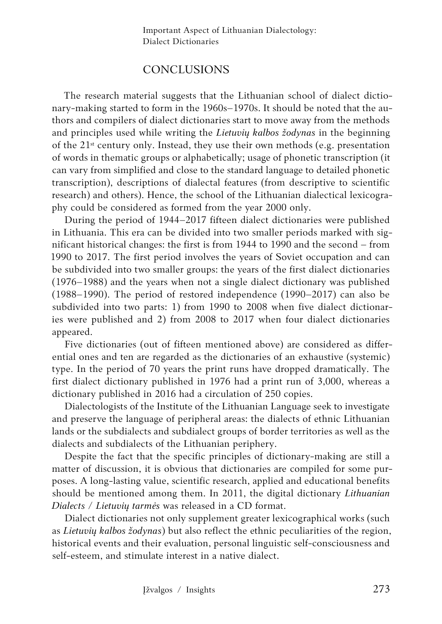### **CONCLUSIONS**

The research material suggests that the Lithuanian school of dialect dictionary-making started to form in the 1960s–1970s. It should be noted that the authors and compilers of dialect dictionaries start to move away from the methods and principles used while writing the *Lietuvių kalbos žodynas* in the beginning of the  $21<sup>st</sup>$  century only. Instead, they use their own methods (e.g. presentation of words in thematic groups or alphabetically; usage of phonetic transcription (it can vary from simplified and close to the standard language to detailed phonetic transcription), descriptions of dialectal features (from descriptive to scientific research) and others). Hence, the school of the Lithuanian dialectical lexicography could be considered as formed from the year 2000 only.

During the period of 1944–2017 fifteen dialect dictionaries were published in Lithuania. This era can be divided into two smaller periods marked with significant historical changes: the first is from 1944 to 1990 and the second – from 1990 to 2017. The first period involves the years of Soviet occupation and can be subdivided into two smaller groups: the years of the first dialect dictionaries (1976–1988) and the years when not a single dialect dictionary was published (1988–1990). The period of restored independence (1990–2017) can also be subdivided into two parts: 1) from 1990 to 2008 when five dialect dictionaries were published and 2) from 2008 to 2017 when four dialect dictionaries appeared.

Five dictionaries (out of fifteen mentioned above) are considered as differential ones and ten are regarded as the dictionaries of an exhaustive (systemic) type. In the period of 70 years the print runs have dropped dramatically. The first dialect dictionary published in 1976 had a print run of 3,000, whereas a dictionary published in 2016 had a circulation of 250 copies.

Dialectologists of the Institute of the Lithuanian Language seek to investigate and preserve the language of peripheral areas: the dialects of ethnic Lithuanian lands or the subdialects and subdialect groups of border territories as well as the dialects and subdialects of the Lithuanian periphery.

Despite the fact that the specific principles of dictionary-making are still a matter of discussion, it is obvious that dictionaries are compiled for some purposes. A long-lasting value, scientific research, applied and educational benefits should be mentioned among them. In 2011, the digital dictionary *Lithuanian Dialects* / *Lietuvių tarmės* was released in a CD format.

Dialect dictionaries not only supplement greater lexicographical works (such as *Lietuvių kalbos žodynas*) but also reflect the ethnic peculiarities of the region, historical events and their evaluation, personal linguistic self-consciousness and self-esteem, and stimulate interest in a native dialect.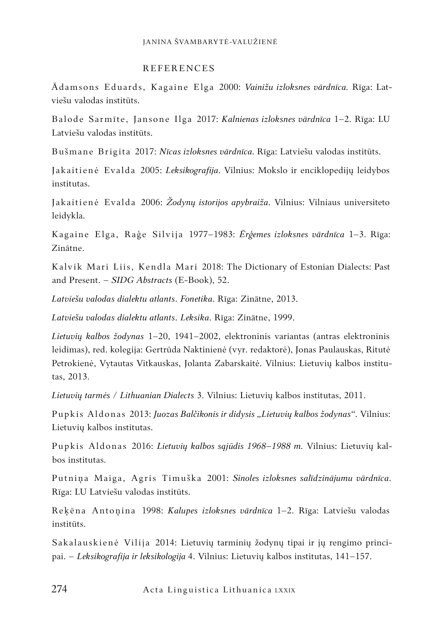#### REFERENCES

Ādamsons Eduards, Kagaine Elga 2000: *Vainižu izloksnes vārdnīca.* Rīga: Latviešu valodas institūts.

Balode Sarmīte, Jansone Ilga 2017: *Kalnienas izloksnes vārdnīca* 1–2. Rīga: LU Latviešu valodas institūts.

Bušmane Brigita 2017: *Nīcas izloksnes vārdnīca.* Rīga: Latviešu valodas institūts.

Jakaitienė Evalda 2005: *Leksikografija*. Vilnius: Mokslo ir enciklopedijų leidybos institutas.

Jakaitienė Evalda 2006: *Žodynų istorijos apybraiža*. Vilnius: Vilniaus universiteto leidykla.

Kagaine Elga, Raģe Silvija 1977–1983: *Ērģemes izloksnes vārdnīca* 1–3. Rīga: Zinātne.

Kalvik Mari Liis, Kendla Mari 2018: The Dictionary of Estonian Dialects: Past and Present. – *SIDG Abstracts* (E-Book), 52.

*Latviešu valodas dialektu atlants*. *Fonetika*. Rīga: Zinātne, 2013.

*Latviešu valodas dialektu atlants*. *Leksika*. Rīga: Zinātne, 1999.

*Lietuvių kalbos žodynas* 1–20, 1941–2002, elektroninis variantas (antras elektroninis leidimas), red. kolegija: Gertrūda Naktinienė (vyr. redaktorė), Jonas Paulauskas, Ritutė Petrokienė, Vytautas Vitkauskas, Jolanta Zabarskaitė. Vilnius: Lietuvių kalbos institutas, 2013.

*Lietuvių tarmės* / *Lithuanian Dialects* 3. Vilnius: Lietuvių kalbos institutas, 2011.

Pupkis Aldonas 2013: *Juozas Balčikonis ir didysis "Lietuvių kalbos žodynas".* Vilnius: Lietuvių kalbos institutas.

Pupkis Aldonas 2016: *Lietuvių kalbos sąjūdis 1968–1988 m.* Vilnius: Lietuvių kalbos institutas.

Putniņa Maiga, Agris Timuška 2001: *Sinoles izloksnes salīdzinājumu vārdnīca*. Rīga: LU Latviešu valodas institūts.

Reķēna Antoņina 1998: *Kalupes izloksnes vārdnīca* 1–2. Rīga: Latviešu valodas institūts.

Sakalauskienė Vilija 2014: Lietuvių tarminių žodynų tipai ir jų rengimo principai. – *Leksikografija ir leksikologija* 4. Vilnius: Lietuvių kalbos institutas, 141–157.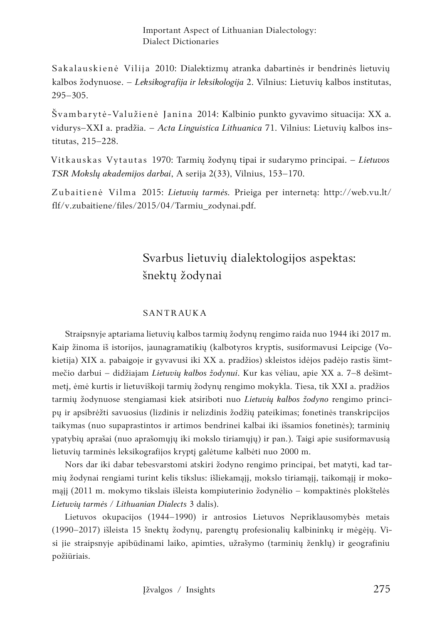Important Aspect of Lithuanian Dialectology: Dialect Dictionaries

Sakalauskienė Vilija 2010: Dialektizmų atranka dabartinės ir bendrinės lietuvių kalbos žodynuose. – *Leksikografija ir leksikologija* 2. Vilnius: Lietuvių kalbos institutas, 295–305.

Švambarytė-Valužienė Janina 2014: Kalbinio punkto gyvavimo situacija: XX a. vidurys–XXI a. pradžia. – *Acta Linguistica Lithuanica* 71. Vilnius: Lietuvių kalbos institutas, 215–228.

Vitkauskas Vytautas 1970: Tarmių žodynų tipai ir sudarymo principai. – *Lietuvos TSR Mokslų akademijos darbai*, A serija 2(33), Vilnius, 153–170.

Zubaitienė Vilma 2015: *Lietuvių tarmės.* Prieiga per internetą: http://web.vu.lt/ flf/v.zubaitiene/files/2015/04/Tarmiu\_zodynai.pdf.

# Svarbus lietuvių dialektologijos aspektas: šnektų žodynai

#### SANTRAUKA

Straipsnyje aptariama lietuvių kalbos tarmių žodynų rengimo raida nuo 1944 iki 2017 m. Kaip žinoma iš istorijos, jaunagramatikių (kalbotyros kryptis, susiformavusi Leipcige (Vokietija) XIX a. pabaigoje ir gyvavusi iki XX a. pradžios) skleistos idėjos padėjo rastis šimtmečio darbui – didžiajam *Lietuvių kalbos žodynui*. Kur kas vėliau, apie XX a. 7–8 dešimtmetį, ėmė kurtis ir lietuviškoji tarmių žodynų rengimo mokykla. Tiesa, tik XXI a. pradžios tarmių žodynuose stengiamasi kiek atsiriboti nuo *Lietuvių kalbos žodyno* rengimo principų ir apsibrėžti savuosius (lizdinis ir nelizdinis žodžių pateikimas; fonetinės transkripcijos taikymas (nuo supaprastintos ir artimos bendrinei kalbai iki išsamios fonetinės); tarminių ypatybių aprašai (nuo aprašomųjų iki mokslo tiriamųjų) ir pan.). Taigi apie susiformavusią lietuvių tarminės leksikografijos kryptį galėtume kalbėti nuo 2000 m.

Nors dar iki dabar tebesvarstomi atskiri žodyno rengimo principai, bet matyti, kad tarmių žodynai rengiami turint kelis tikslus: išliekamąjį, mokslo tiriamąjį, taikomąjį ir mokomąjį (2011 m. mokymo tikslais išleista kompiuterinio žodynėlio – kompaktinės plokštelės *Lietuvių tarmės / Lithuanian Dialects* 3 dalis).

Lietuvos okupacijos (1944–1990) ir antrosios Lietuvos Nepriklausomybės metais (1990–2017) išleista 15 šnektų žodynų, parengtų profesionalių kalbininkų ir mėgėjų. Visi jie straipsnyje apibūdinami laiko, apimties, užrašymo (tarminių ženklų) ir geografiniu požiūriais.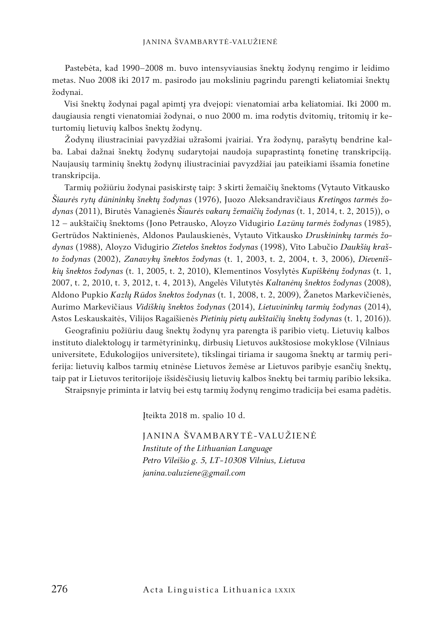Pastebėta, kad 1990–2008 m. buvo intensyviausias šnektų žodynų rengimo ir leidimo metas. Nuo 2008 iki 2017 m. pasirodo jau moksliniu pagrindu parengti keliatomiai šnektų žodynai.

Visi šnektų žodynai pagal apimtį yra dvejopi: vienatomiai arba keliatomiai. Iki 2000 m. daugiausia rengti vienatomiai žodynai, o nuo 2000 m. ima rodytis dvitomių, tritomių ir keturtomių lietuvių kalbos šnektų žodynų.

Žodynų iliustraciniai pavyzdžiai užrašomi įvairiai. Yra žodynų, parašytų bendrine kalba. Labai dažnai šnektų žodynų sudarytojai naudoja supaprastintą fonetinę transkripciją. Naujausių tarminių šnektų žodynų iliustraciniai pavyzdžiai jau pateikiami išsamia fonetine transkripcija.

Tarmių požiūriu žodynai pasiskirstę taip: 3 skirti žemaičių šnektoms (Vytauto Vitkausko *Šiaurės rytų dūnininkų šnektų žodynas* (1976), Juozo Aleksandravičiaus *Kretingos tarmės žodynas* (2011), Birutės Vanagienės *Šiaurės vakarų žemaičių žodynas* (t. 1, 2014, t. 2, 2015)), o 12 – aukštaičių šnektoms (Jono Petrausko, Aloyzo Vidugirio *Lazūnų tarmės žodynas* (1985), Gertrūdos Naktinienės, Aldonos Paulauskienės, Vytauto Vitkausko *Druskininkų tarmės žodynas* (1988), Aloyzo Vidugirio *Zietelos šnektos žodynas* (1998), Vito Labučio *Daukšių krašto žodynas* (2002), *Zanavykų šnektos žodynas* (t. 1, 2003, t. 2, 2004, t. 3, 2006), *Dieveniškių šnektos žodynas* (t. 1, 2005, t. 2, 2010), Klementinos Vosylytės *Kupiškėnų žodynas* (t. 1, 2007, t. 2, 2010, t. 3, 2012, t. 4, 2013), Angelės Vilutytės *Kaltanėnų šnektos žodynas* (2008), Aldono Pupkio *Kazlų Rūdos šnektos žodynas* (t. 1, 2008, t. 2, 2009), Žanetos Markevičienės, Aurimo Markevičiaus *Vidiškių šnektos žodynas* (2014), *Lietuvininkų tarmių žodynas* (2014), Astos Leskauskaitės, Vilijos Ragaišienės *Pietinių pietų aukštaičių šnektų žodynas* (t. 1, 2016)).

Geografiniu požiūriu daug šnektų žodynų yra parengta iš paribio vietų. Lietuvių kalbos instituto dialektologų ir tarmėtyrininkų, dirbusių Lietuvos aukštosiose mokyklose (Vilniaus universitete, Edukologijos universitete), tikslingai tiriama ir saugoma šnektų ar tarmių periferija: lietuvių kalbos tarmių etninėse Lietuvos žemėse ar Lietuvos paribyje esančių šnektų, taip pat ir Lietuvos teritorijoje išsidėsčiusių lietuvių kalbos šnektų bei tarmių paribio leksika.

Straipsnyje priminta ir latvių bei estų tarmių žodynų rengimo tradicija bei esama padėtis.

Įteikta 2018 m. spalio 10 d.

JANINA ŠVAMBARYTĖ-VALUŽIENĖ *Institute of the Lithuanian Language Petro Vileišio g. 5, LT-10308 Vilnius, Lietuva janina.valuziene@gmail.com*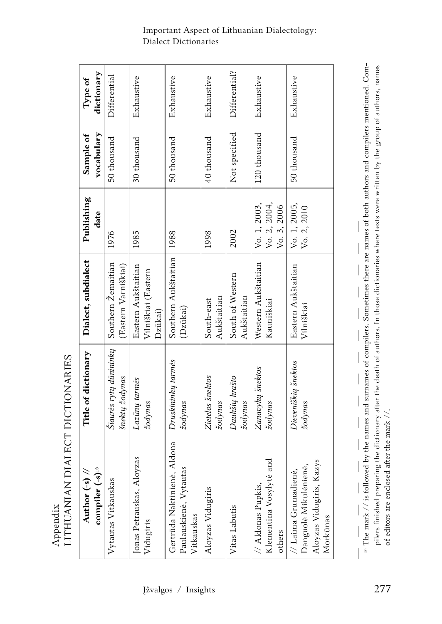| compiler (-s) <sup>16</sup><br>$\overline{\phantom{0}}$<br>Author (-s)                              | Title of dictionary                      | Dialect, subdialect                                   | Publishing<br>date                          | vocabulary<br>Sample of | dictionary<br>Type of |
|-----------------------------------------------------------------------------------------------------|------------------------------------------|-------------------------------------------------------|---------------------------------------------|-------------------------|-----------------------|
| Vytautas Vitkauskas                                                                                 | Šiaurės rytų dūnininkų<br>šnektų žodynas | Southern Zemaitian<br>(Eastern Varniškiai)            | 1976                                        | 50 thousand             | Differential          |
| loyzas<br>Jonas Petrauskas, A<br>Vidugiris                                                          | Lazūnų tarmės<br>žodynas                 | Eastern Aukštaitian<br>Vilniškiai (Eastern<br>Dzūkai) | 1985                                        | 30 thousand             | Exhaustive            |
| Gertrūda Naktinienė, Aldona<br>Paulauskienė, Vytautas<br>Vitkauskas                                 | Druskininkų tarmės<br>žodynas            | Southern Aukštaitian<br>(Dzūkai)                      | 1988                                        | 50 thousand             | Exhaustive            |
| Aloyzas Vidugiris                                                                                   | Zietelos šnektos<br>zodynas              | Aukštaitian<br>South-east                             | 1998                                        | 40 thousand             | Exhaustive            |
| Vitas Labutis                                                                                       | Daukšių krašto<br>zodynas                | South of Western<br>Aukštaitian                       | 2002                                        | Not specified           | Differential?         |
| Klementina Vosylytė and<br>// Aldonas Pupkis,<br>others                                             | Zanavykų šnektos<br>zodynas              | Western Aukštaitian<br>Kauniškiai                     | Vo. 2, 2004,<br>Vo. 1, 2003,<br>Vo. 3, 2006 | 120 thousand            | Exhaustive            |
| Kazys<br>Danguolė Mikulėnienė,<br>$\frac{1}{2}$ Laima Grumadienė,<br>Aloyzas Vidugiris,<br>Morkūnas | Dieveniškių šnektos<br>zodynas           | Eastern Aukštaitian<br>Vilniškiai                     | Vo. 1, 2005,<br>Vo. 2, 2010                 | 50 thousand             | Exhaustive            |

Appendix<br>LITHUANIAN DIALECT DICTIONARIES LITHUANIAN DIALECT DICTIONARIES Appendix

<sup>16</sup> The mark // is followed by the names and surnames of compilers. Sometimes there are names of both authors and compilers mentioned. Compilers finished preparing the dictionary after the death of authors. In those dictionaries where texts were written by the group of authors, names pilers finished preparing the dictionary after the death of authors. In those dictionaries where texts were written by the group of authors, names 16 The mark // is followed by the names and surnames of compilers. Sometimes there are names of both authors and compilers mentioned. Com- $\overline{\phantom{a}}$  $\bigg|$  $\begin{array}{c} \hline \end{array}$  $\overline{\phantom{a}}$  $\overline{\phantom{a}}$  $\begin{array}{c} \hline \end{array}$  $\bigg|$  $\overline{\phantom{a}}$ of editors are enclosed after the mark //. of editors are enclosed after the mark //. $\bigg|$  $\begin{array}{c} \hline \end{array}$  $\bigg|$  $\overline{\phantom{a}}$  $\overline{\phantom{a}}$  $\bigg|$  $\begin{array}{c} \hline \end{array}$ 

#### Important Aspect of Lithuanian Dialectology: Dialect Dictionaries